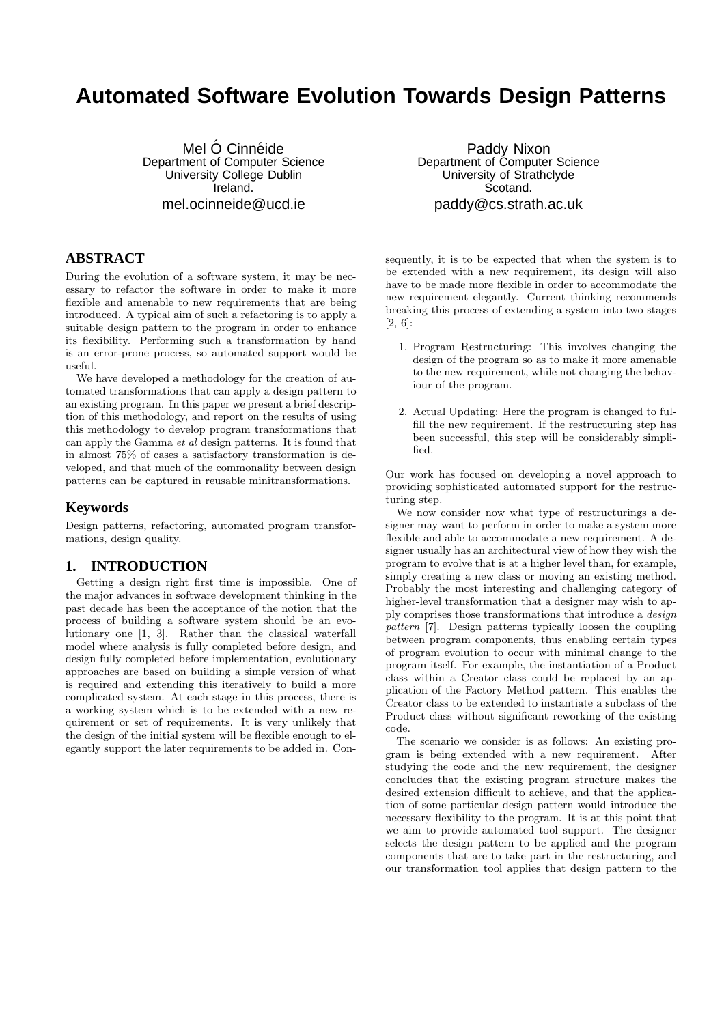# **Automated Software Evolution Towards Design Patterns**

Mel Ó Cinnéide Department of Computer Science University College Dublin Ireland. mel.ocinneide@ucd.ie

# **ABSTRACT**

During the evolution of a software system, it may be necessary to refactor the software in order to make it more flexible and amenable to new requirements that are being introduced. A typical aim of such a refactoring is to apply a suitable design pattern to the program in order to enhance its flexibility. Performing such a transformation by hand is an error-prone process, so automated support would be useful.

We have developed a methodology for the creation of automated transformations that can apply a design pattern to an existing program. In this paper we present a brief description of this methodology, and report on the results of using this methodology to develop program transformations that can apply the Gamma *et al* design patterns. It is found that in almost 75% of cases a satisfactory transformation is developed, and that much of the commonality between design patterns can be captured in reusable minitransformations.

#### **Keywords**

Design patterns, refactoring, automated program transformations, design quality.

#### **1. INTRODUCTION**

Getting a design right first time is impossible. One of the major advances in software development thinking in the past decade has been the acceptance of the notion that the process of building a software system should be an evolutionary one [1, 3]. Rather than the classical waterfall model where analysis is fully completed before design, and design fully completed before implementation, evolutionary approaches are based on building a simple version of what is required and extending this iteratively to build a more complicated system. At each stage in this process, there is a working system which is to be extended with a new requirement or set of requirements. It is very unlikely that the design of the initial system will be flexible enough to elegantly support the later requirements to be added in. Con-

Paddy Nixon Department of Computer Science University of Strathclyde Scotand. paddy@cs.strath.ac.uk

sequently, it is to be expected that when the system is to be extended with a new requirement, its design will also have to be made more flexible in order to accommodate the new requirement elegantly. Current thinking recommends breaking this process of extending a system into two stages [2, 6]:

- 1. Program Restructuring: This involves changing the design of the program so as to make it more amenable to the new requirement, while not changing the behaviour of the program.
- 2. Actual Updating: Here the program is changed to fulfill the new requirement. If the restructuring step has been successful, this step will be considerably simplified.

Our work has focused on developing a novel approach to providing sophisticated automated support for the restructuring step.

We now consider now what type of restructurings a designer may want to perform in order to make a system more flexible and able to accommodate a new requirement. A designer usually has an architectural view of how they wish the program to evolve that is at a higher level than, for example, simply creating a new class or moving an existing method. Probably the most interesting and challenging category of higher-level transformation that a designer may wish to apply comprises those transformations that introduce a *design pattern* [7]. Design patterns typically loosen the coupling between program components, thus enabling certain types of program evolution to occur with minimal change to the program itself. For example, the instantiation of a Product class within a Creator class could be replaced by an application of the Factory Method pattern. This enables the Creator class to be extended to instantiate a subclass of the Product class without significant reworking of the existing code.

The scenario we consider is as follows: An existing program is being extended with a new requirement. After studying the code and the new requirement, the designer concludes that the existing program structure makes the desired extension difficult to achieve, and that the application of some particular design pattern would introduce the necessary flexibility to the program. It is at this point that we aim to provide automated tool support. The designer selects the design pattern to be applied and the program components that are to take part in the restructuring, and our transformation tool applies that design pattern to the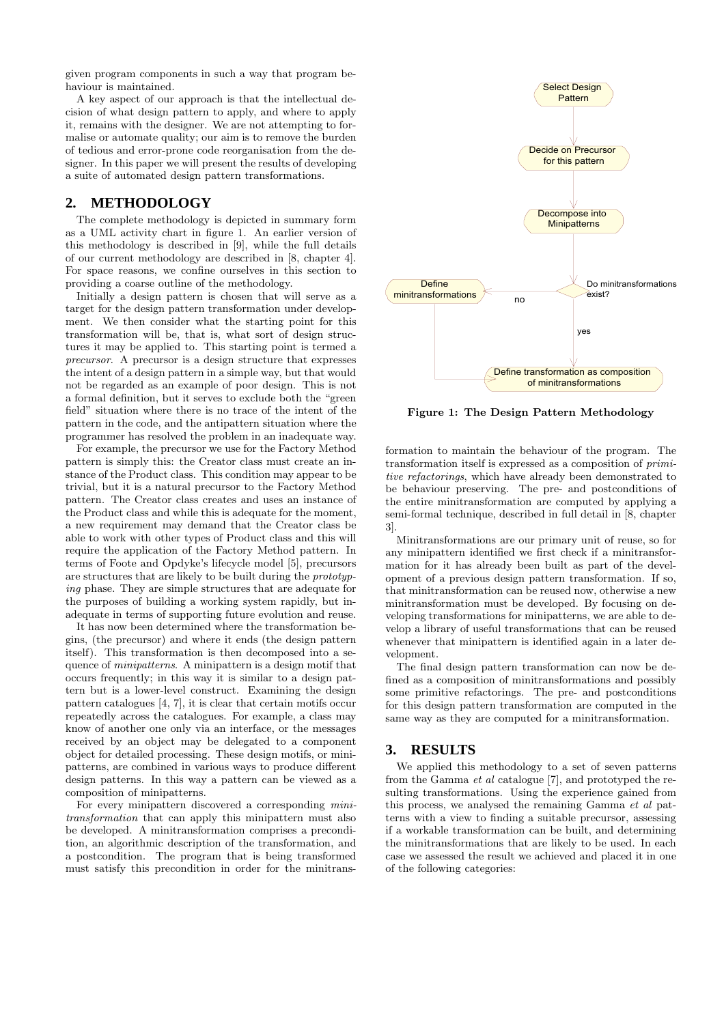given program components in such a way that program behaviour is maintained.

A key aspect of our approach is that the intellectual decision of what design pattern to apply, and where to apply it, remains with the designer. We are not attempting to formalise or automate quality; our aim is to remove the burden of tedious and error-prone code reorganisation from the designer. In this paper we will present the results of developing a suite of automated design pattern transformations.

### **2. METHODOLOGY**

The complete methodology is depicted in summary form as a UML activity chart in figure 1. An earlier version of this methodology is described in [9], while the full details of our current methodology are described in [8, chapter 4]. For space reasons, we confine ourselves in this section to providing a coarse outline of the methodology.

Initially a design pattern is chosen that will serve as a target for the design pattern transformation under development. We then consider what the starting point for this transformation will be, that is, what sort of design structures it may be applied to. This starting point is termed a *precursor*. A precursor is a design structure that expresses the intent of a design pattern in a simple way, but that would not be regarded as an example of poor design. This is not a formal definition, but it serves to exclude both the "green field" situation where there is no trace of the intent of the pattern in the code, and the antipattern situation where the programmer has resolved the problem in an inadequate way.

For example, the precursor we use for the Factory Method pattern is simply this: the Creator class must create an instance of the Product class. This condition may appear to be trivial, but it is a natural precursor to the Factory Method pattern. The Creator class creates and uses an instance of the Product class and while this is adequate for the moment, a new requirement may demand that the Creator class be able to work with other types of Product class and this will require the application of the Factory Method pattern. In terms of Foote and Opdyke's lifecycle model [5], precursors are structures that are likely to be built during the *prototyping* phase. They are simple structures that are adequate for the purposes of building a working system rapidly, but inadequate in terms of supporting future evolution and reuse.

It has now been determined where the transformation begins, (the precursor) and where it ends (the design pattern itself). This transformation is then decomposed into a sequence of *minipatterns*. A minipattern is a design motif that occurs frequently; in this way it is similar to a design pattern but is a lower-level construct. Examining the design pattern catalogues [4, 7], it is clear that certain motifs occur repeatedly across the catalogues. For example, a class may know of another one only via an interface, or the messages received by an object may be delegated to a component object for detailed processing. These design motifs, or minipatterns, are combined in various ways to produce different design patterns. In this way a pattern can be viewed as a composition of minipatterns.

For every minipattern discovered a corresponding *minitransformation* that can apply this minipattern must also be developed. A minitransformation comprises a precondition, an algorithmic description of the transformation, and a postcondition. The program that is being transformed must satisfy this precondition in order for the minitrans-



**Figure 1: The Design Pattern Methodology**

formation to maintain the behaviour of the program. The transformation itself is expressed as a composition of *primitive refactorings*, which have already been demonstrated to be behaviour preserving. The pre- and postconditions of the entire minitransformation are computed by applying a semi-formal technique, described in full detail in [8, chapter 3].

Minitransformations are our primary unit of reuse, so for any minipattern identified we first check if a minitransformation for it has already been built as part of the development of a previous design pattern transformation. If so, that minitransformation can be reused now, otherwise a new minitransformation must be developed. By focusing on developing transformations for minipatterns, we are able to develop a library of useful transformations that can be reused whenever that minipattern is identified again in a later development.

The final design pattern transformation can now be defined as a composition of minitransformations and possibly some primitive refactorings. The pre- and postconditions for this design pattern transformation are computed in the same way as they are computed for a minitransformation.

### **3. RESULTS**

We applied this methodology to a set of seven patterns from the Gamma *et al* catalogue [7], and prototyped the resulting transformations. Using the experience gained from this process, we analysed the remaining Gamma *et al* patterns with a view to finding a suitable precursor, assessing if a workable transformation can be built, and determining the minitransformations that are likely to be used. In each case we assessed the result we achieved and placed it in one of the following categories: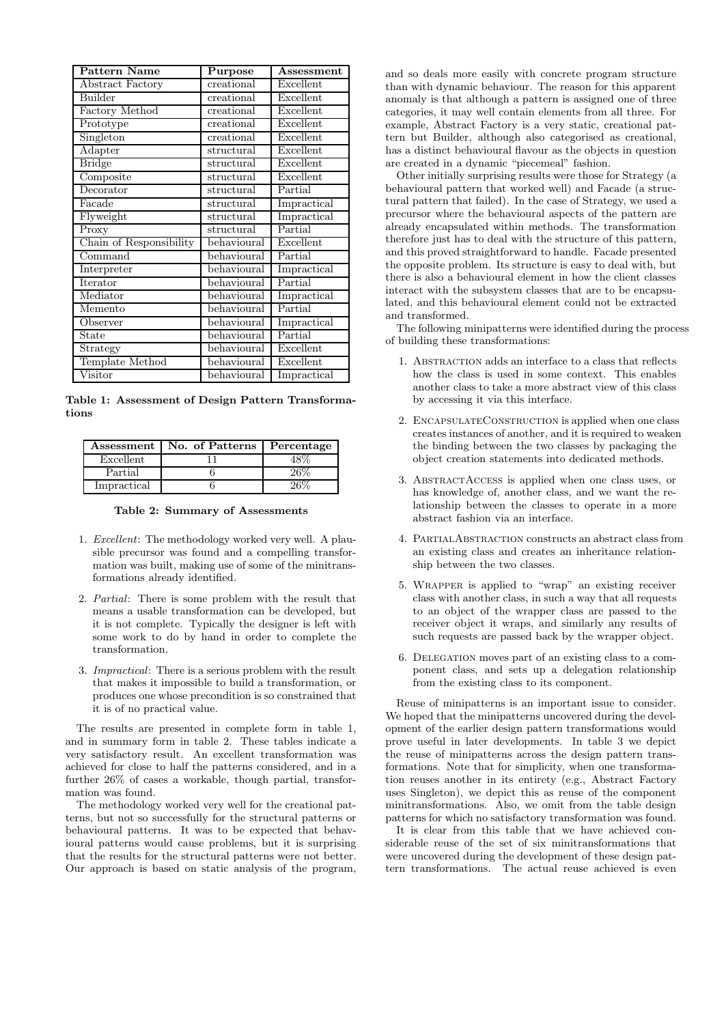| <b>Pattern Name</b>     | Purpose     | Assessment  |  |
|-------------------------|-------------|-------------|--|
| Abstract Factory        | creational  | Excellent   |  |
| <b>Builder</b>          | creational  | Excellent   |  |
| <b>Factory Method</b>   | creational  | Excellent   |  |
| Prototype               | creational  | Excellent   |  |
| Singleton               | creational  | Excellent   |  |
| Adapter                 | structural  | Excellent   |  |
| <b>Bridge</b>           | structural  | Excellent   |  |
| Composite               | structural  | Excellent   |  |
| Decorator               | structural  | Partial     |  |
| Facade                  | structural  | Impractical |  |
| Flyweight               | structural  | Impractical |  |
| Proxy                   | structural  | Partial     |  |
| Chain of Responsibility | behavioural | Excellent   |  |
|                         |             |             |  |
| Command                 | behavioural | Partial     |  |
| Interpreter             | behavioural | Impractical |  |
| Iterator                | behavioural | Partial     |  |
| Mediator                | behavioural | Impractical |  |
| Memento                 | behavioural | Partial     |  |
| Observer                | behavioural | Impractical |  |
| State                   | behavioural | Partial     |  |
| Strategy                | behavioural | Excellent   |  |
| Template Method         | behavioural | Excellent   |  |

**Table 1: Assessment of Design Pattern Transformations**

| Assessment  | No. of Patterns | Percentage |
|-------------|-----------------|------------|
| Excellent   |                 |            |
| Partial     |                 | 269        |
| Impractical |                 |            |

|  |  |  | Table 2: Summary of Assessments |
|--|--|--|---------------------------------|
|--|--|--|---------------------------------|

- 1. *Excellent*: The methodology worked very well. A plausible precursor was found and a compelling transformation was built, making use of some of the minitransformations already identified.
- 2. *Partial*: There is some problem with the result that means a usable transformation can be developed, but it is not complete. Typically the designer is left with some work to do by hand in order to complete the transformation.
- 3. *Impractical*: There is a serious problem with the result that makes it impossible to build a transformation, or produces one whose precondition is so constrained that it is of no practical value.

The results are presented in complete form in table 1, and in summary form in table 2. These tables indicate a very satisfactory result. An excellent transformation was achieved for close to half the patterns considered, and in a further 26% of cases a workable, though partial, transformation was found.

The methodology worked very well for the creational patterns, but not so successfully for the structural patterns or behavioural patterns. It was to be expected that behavioural patterns would cause problems, but it is surprising that the results for the structural patterns were not better. Our approach is based on static analysis of the program,

and so deals more easily with concrete program structure than with dynamic behaviour. The reason for this apparent anomaly is that although a pattern is assigned one of three categories, it may well contain elements from all three. For example, Abstract Factory is a very static, creational pattern but Builder, although also categorised as creational, has a distinct behavioural flavour as the objects in question are created in a dynamic "piecemeal" fashion.

Other initially surprising results were those for Strategy (a behavioural pattern that worked well) and Facade (a structural pattern that failed). In the case of Strategy, we used a precursor where the behavioural aspects of the pattern are already encapsulated within methods. The transformation therefore just has to deal with the structure of this pattern, and this proved straightforward to handle. Facade presented the opposite problem. Its structure is easy to deal with, but there is also a behavioural element in how the client classes interact with the subsystem classes that are to be encapsulated, and this behavioural element could not be extracted and transformed.

The following minipatterns were identified during the process of building these transformations:

- 1. Abstraction adds an interface to a class that reflects how the class is used in some context. This enables another class to take a more abstract view of this class by accessing it via this interface.
- 2. ENCAPSULATECONSTRUCTION is applied when one class creates instances of another, and it is required to weaken the binding between the two classes by packaging the object creation statements into dedicated methods.
- 3. AbstractAccess is applied when one class uses, or has knowledge of, another class, and we want the relationship between the classes to operate in a more abstract fashion via an interface.
- 4. PartialAbstraction constructs an abstract class from an existing class and creates an inheritance relationship between the two classes.
- 5. WRAPPER is applied to "wrap" an existing receiver class with another class, in such a way that all requests to an object of the wrapper class are passed to the receiver object it wraps, and similarly any results of such requests are passed back by the wrapper object.
- 6. Delegation moves part of an existing class to a component class, and sets up a delegation relationship from the existing class to its component.

Reuse of minipatterns is an important issue to consider. We hoped that the minipatterns uncovered during the development of the earlier design pattern transformations would prove useful in later developments. In table 3 we depict the reuse of minipatterns across the design pattern transformations. Note that for simplicity, when one transformation reuses another in its entirety (e.g., Abstract Factory uses Singleton), we depict this as reuse of the component minitransformations. Also, we omit from the table design patterns for which no satisfactory transformation was found.

It is clear from this table that we have achieved considerable reuse of the set of six minitransformations that were uncovered during the development of these design pattern transformations. The actual reuse achieved is even